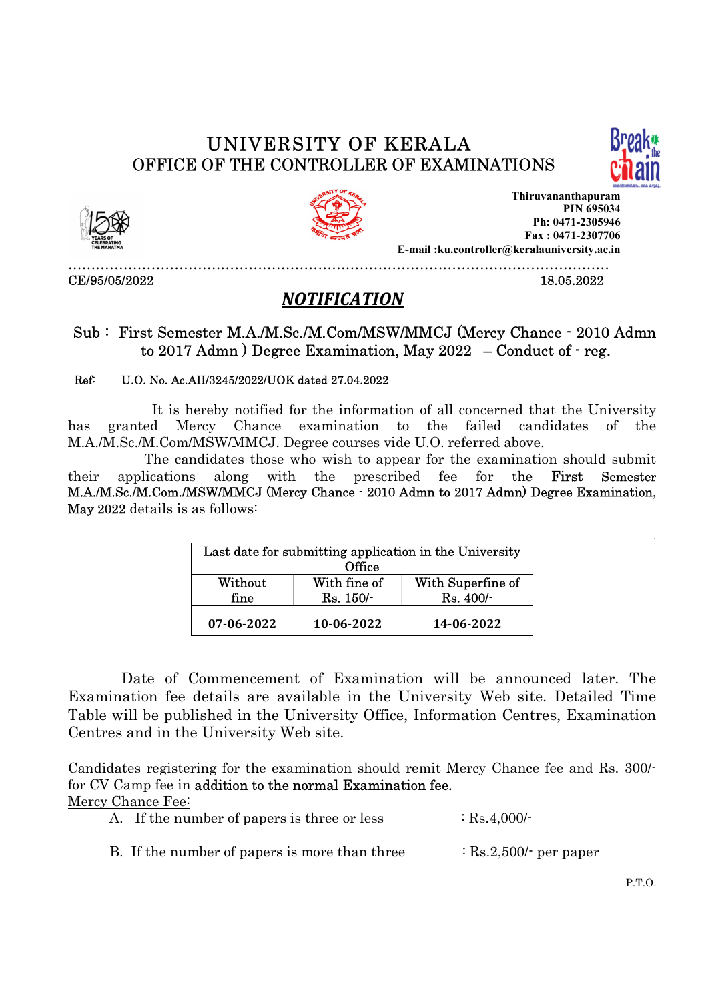# UNIVERSITY OF KERALA





OFFICE OF THE CONTROLLER OF EXAMINATIONS<br>
Thiruvananthapuram<br>
PIN 695034<br>
PIN 695034<br>
PIN 695034<br>
PIN 695034<br>
Fax : 0471-2307706<br>
E-mail :ku.controller@keralauniversity.ac.in<br>
CE/95/05/2022<br>
18.05.2022<br>
18.05.2022 Thiruvananthapuram PIN 695034 Ph: 0471-2305946 Fax : 0471-2307706 E-mail :ku.controller@keralauniversity.ac.in

# NOTIFICATION<br>Sub : First Semester M.A./M.Sc./M.Com/MSW/MMCJ (Mercy Chance - 2010 Admn<br>to 2017 Admn ) Degree Examination, May 2022 – Conduct of - reg.

### Ref: U.O. No. Ac.AII/3245/2022/UOK dated 27.04.2022

 It is hereby notified for the information of all concerned that the University has granted Mercy Chance examination to the failed candidates of the M.A./M.Sc./M.Com/MSW/MMCJ. Degree courses vide U.O. referred above.

 The candidates those who wish to appear for the examination should submit their applications along with the prescribed fee for the First Semester M.A./M.Sc./M.Com./MSW/MMCJ (Mercy Chance - 2010 Admn to 2017 Admn) Degree Examination, May 2022 details is as follows:

| Last date for submitting application in the University<br>Office |                             |                                |  |
|------------------------------------------------------------------|-----------------------------|--------------------------------|--|
| Without<br>fine                                                  | With fine of<br>$Rs. 150/-$ | With Superfine of<br>Rs. 400/- |  |
| 07-06-2022                                                       | 10-06-2022                  | 14-06-2022                     |  |

 Date of Commencement of Examination will be announced later. The Examination fee details are available in the University Web site. Detailed Time Table will be published in the University Office, Information Centres, Examination Centres and in the University Web site.

 Candidates registering for the examination should remit Mercy Chance fee and Rs. 300/ for CV Camp fee in addition to the normal Examination fee. Mercy Chance Fee:

|  | A. If the number of papers is three or less | $\therefore$ Rs.4,000/- |
|--|---------------------------------------------|-------------------------|
|  |                                             |                         |

B. If the number of papers is more than three  $\qquad$  : Rs.2,500/- per paper

P.T.O.

.